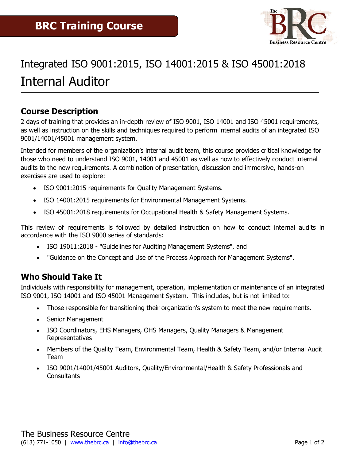

# Integrated ISO 9001:2015, ISO 14001:2015 & ISO 45001:2018 Internal Auditor

## **Course Description**

2 days of training that provides an in-depth review of ISO 9001, ISO 14001 and ISO 45001 requirements, as well as instruction on the skills and techniques required to perform internal audits of an integrated ISO 9001/14001/45001 management system.

Intended for members of the organization's internal audit team, this course provides critical knowledge for those who need to understand ISO 9001, 14001 and 45001 as well as how to effectively conduct internal audits to the new requirements. A combination of presentation, discussion and immersive, hands-on exercises are used to explore:

- ISO 9001:2015 requirements for Quality Management Systems.
- ISO 14001:2015 requirements for Environmental Management Systems.
- ISO 45001:2018 requirements for Occupational Health & Safety Management Systems.

This review of requirements is followed by detailed instruction on how to conduct internal audits in accordance with the ISO 9000 series of standards:

- ISO 19011:2018 "Guidelines for Auditing Management Systems", and
- "Guidance on the Concept and Use of the Process Approach for Management Systems".

## **Who Should Take It**

Individuals with responsibility for management, operation, implementation or maintenance of an integrated ISO 9001, ISO 14001 and ISO 45001 Management System. This includes, but is not limited to:

- Those responsible for transitioning their organization's system to meet the new requirements.
- Senior Management
- ISO Coordinators, EHS Managers, OHS Managers, Quality Managers & Management Representatives
- Members of the Quality Team, Environmental Team, Health & Safety Team, and/or Internal Audit Team
- ISO 9001/14001/45001 Auditors, Quality/Environmental/Health & Safety Professionals and **Consultants**